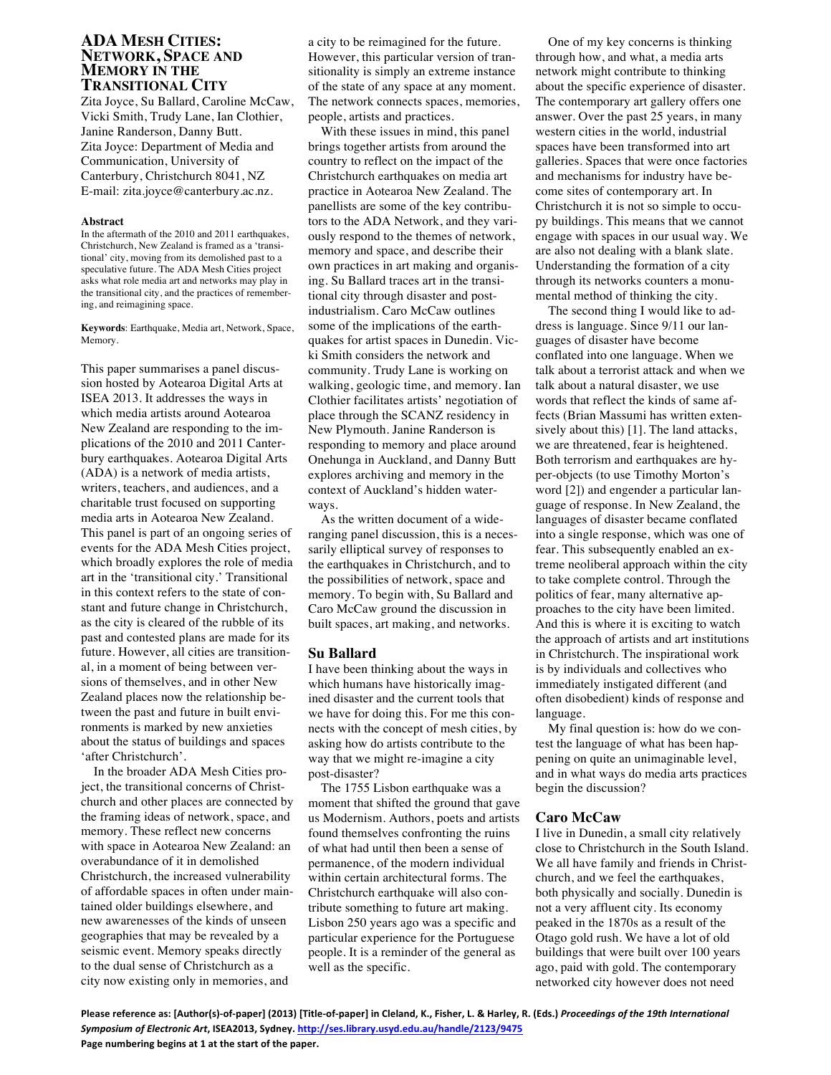# **ADA MESH CITIES: NETWORK, SPACE AND MEMORY IN THE TRANSITIONAL CITY**

Zita Joyce, Su Ballard, Caroline McCaw, Vicki Smith, Trudy Lane, Ian Clothier, Janine Randerson, Danny Butt. Zita Joyce: Department of Media and Communication, University of Canterbury, Christchurch 8041, NZ E-mail: zita.joyce@canterbury.ac.nz.

## **Abstract**

In the aftermath of the 2010 and 2011 earthquakes, Christchurch, New Zealand is framed as a 'transitional' city, moving from its demolished past to a speculative future. The ADA Mesh Cities project asks what role media art and networks may play in the transitional city, and the practices of remembering, and reimagining space.

**Keywords**: Earthquake, Media art, Network, Space, Memory.

This paper summarises a panel discussion hosted by Aotearoa Digital Arts at ISEA 2013. It addresses the ways in which media artists around Aotearoa New Zealand are responding to the implications of the 2010 and 2011 Canterbury earthquakes. Aotearoa Digital Arts (ADA) is a network of media artists, writers, teachers, and audiences, and a charitable trust focused on supporting media arts in Aotearoa New Zealand. This panel is part of an ongoing series of events for the ADA Mesh Cities project, which broadly explores the role of media art in the 'transitional city.' Transitional in this context refers to the state of constant and future change in Christchurch, as the city is cleared of the rubble of its past and contested plans are made for its future. However, all cities are transitional, in a moment of being between versions of themselves, and in other New Zealand places now the relationship between the past and future in built environments is marked by new anxieties about the status of buildings and spaces 'after Christchurch'.

In the broader ADA Mesh Cities project, the transitional concerns of Christchurch and other places are connected by the framing ideas of network, space, and memory. These reflect new concerns with space in Aotearoa New Zealand: an overabundance of it in demolished Christchurch, the increased vulnerability of affordable spaces in often under maintained older buildings elsewhere, and new awarenesses of the kinds of unseen geographies that may be revealed by a seismic event. Memory speaks directly to the dual sense of Christchurch as a city now existing only in memories, and

a city to be reimagined for the future. However, this particular version of transitionality is simply an extreme instance of the state of any space at any moment. The network connects spaces, memories, people, artists and practices.

With these issues in mind, this panel brings together artists from around the country to reflect on the impact of the Christchurch earthquakes on media art practice in Aotearoa New Zealand. The panellists are some of the key contributors to the ADA Network, and they variously respond to the themes of network, memory and space, and describe their own practices in art making and organising. Su Ballard traces art in the transitional city through disaster and postindustrialism. Caro McCaw outlines some of the implications of the earthquakes for artist spaces in Dunedin. Vicki Smith considers the network and community. Trudy Lane is working on walking, geologic time, and memory. Ian Clothier facilitates artists' negotiation of place through the SCANZ residency in New Plymouth. Janine Randerson is responding to memory and place around Onehunga in Auckland, and Danny Butt explores archiving and memory in the context of Auckland's hidden waterways.

As the written document of a wideranging panel discussion, this is a necessarily elliptical survey of responses to the earthquakes in Christchurch, and to the possibilities of network, space and memory. To begin with, Su Ballard and Caro McCaw ground the discussion in built spaces, art making, and networks.

## **Su Ballard**

I have been thinking about the ways in which humans have historically imagined disaster and the current tools that we have for doing this. For me this connects with the concept of mesh cities, by asking how do artists contribute to the way that we might re-imagine a city post-disaster?

The 1755 Lisbon earthquake was a moment that shifted the ground that gave us Modernism. Authors, poets and artists found themselves confronting the ruins of what had until then been a sense of permanence, of the modern individual within certain architectural forms. The Christchurch earthquake will also contribute something to future art making. Lisbon 250 years ago was a specific and particular experience for the Portuguese people. It is a reminder of the general as well as the specific.

One of my key concerns is thinking through how, and what, a media arts network might contribute to thinking about the specific experience of disaster. The contemporary art gallery offers one answer. Over the past 25 years, in many western cities in the world, industrial spaces have been transformed into art galleries. Spaces that were once factories and mechanisms for industry have become sites of contemporary art. In Christchurch it is not so simple to occupy buildings. This means that we cannot engage with spaces in our usual way. We are also not dealing with a blank slate. Understanding the formation of a city through its networks counters a monumental method of thinking the city.

The second thing I would like to address is language. Since 9/11 our languages of disaster have become conflated into one language. When we talk about a terrorist attack and when we talk about a natural disaster, we use words that reflect the kinds of same affects (Brian Massumi has written extensively about this) [1]. The land attacks, we are threatened, fear is heightened. Both terrorism and earthquakes are hyper-objects (to use Timothy Morton's word [2]) and engender a particular language of response. In New Zealand, the languages of disaster became conflated into a single response, which was one of fear. This subsequently enabled an extreme neoliberal approach within the city to take complete control. Through the politics of fear, many alternative approaches to the city have been limited. And this is where it is exciting to watch the approach of artists and art institutions in Christchurch. The inspirational work is by individuals and collectives who immediately instigated different (and often disobedient) kinds of response and language.

My final question is: how do we contest the language of what has been happening on quite an unimaginable level, and in what ways do media arts practices begin the discussion?

# **Caro McCaw**

I live in Dunedin, a small city relatively close to Christchurch in the South Island. We all have family and friends in Christchurch, and we feel the earthquakes, both physically and socially. Dunedin is not a very affluent city. Its economy peaked in the 1870s as a result of the Otago gold rush. We have a lot of old buildings that were built over 100 years ago, paid with gold. The contemporary networked city however does not need

Please reference as: [Author(s)-of-paper] (2013) [Title-of-paper] in Cleland, K., Fisher, L. & Harley, R. (Eds.) Proceedings of the 19th International Symposium of Electronic Art, ISEA2013, Sydney. http://ses.library.usyd.edu.au/handle/2123/9475 Page numbering begins at 1 at the start of the paper.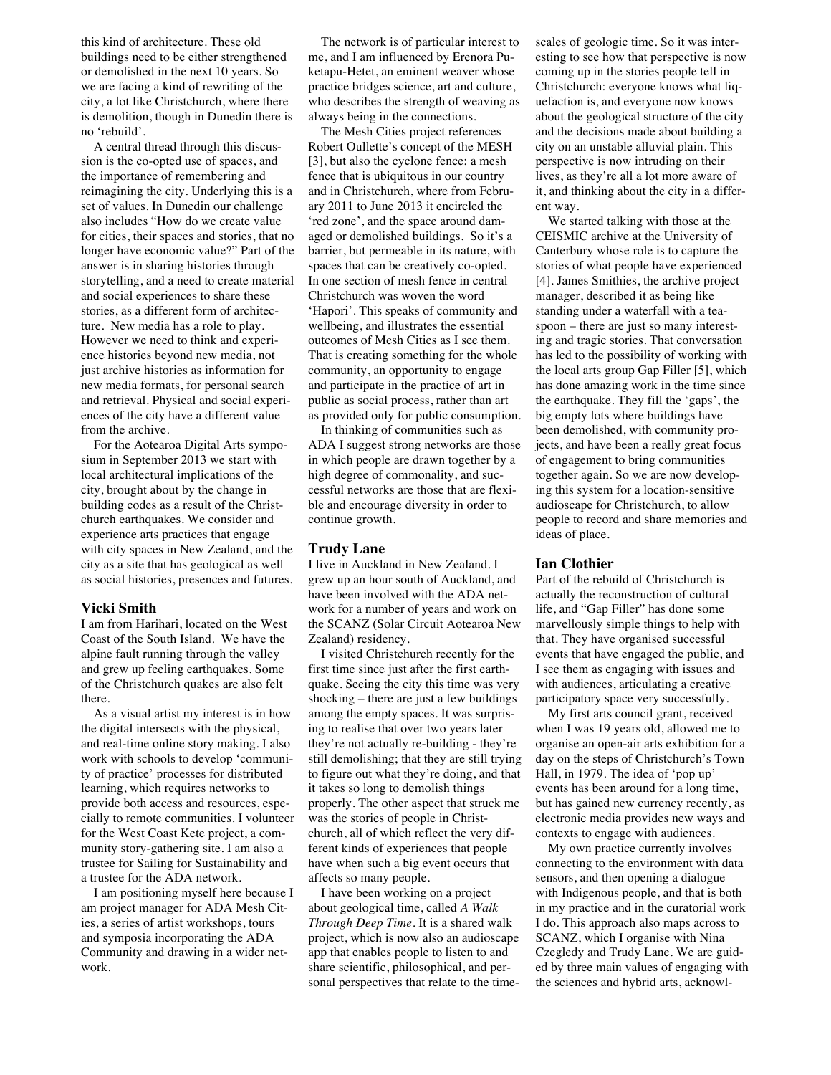this kind of architecture. These old buildings need to be either strengthened or demolished in the next 10 years. So we are facing a kind of rewriting of the city, a lot like Christchurch, where there is demolition, though in Dunedin there is no 'rebuild'.

A central thread through this discussion is the co-opted use of spaces, and the importance of remembering and reimagining the city. Underlying this is a set of values. In Dunedin our challenge also includes "How do we create value for cities, their spaces and stories, that no longer have economic value?" Part of the answer is in sharing histories through storytelling, and a need to create material and social experiences to share these stories, as a different form of architecture. New media has a role to play. However we need to think and experience histories beyond new media, not just archive histories as information for new media formats, for personal search and retrieval. Physical and social experiences of the city have a different value from the archive.

For the Aotearoa Digital Arts symposium in September 2013 we start with local architectural implications of the city, brought about by the change in building codes as a result of the Christchurch earthquakes. We consider and experience arts practices that engage with city spaces in New Zealand, and the city as a site that has geological as well as social histories, presences and futures.

## **Vicki Smith**

I am from Harihari, located on the West Coast of the South Island. We have the alpine fault running through the valley and grew up feeling earthquakes. Some of the Christchurch quakes are also felt there.

As a visual artist my interest is in how the digital intersects with the physical, and real-time online story making. I also work with schools to develop 'community of practice' processes for distributed learning, which requires networks to provide both access and resources, especially to remote communities. I volunteer for the West Coast Kete project, a community story-gathering site. I am also a trustee for Sailing for Sustainability and a trustee for the ADA network.

I am positioning myself here because I am project manager for ADA Mesh Cities, a series of artist workshops, tours and symposia incorporating the ADA Community and drawing in a wider network.

The network is of particular interest to me, and I am influenced by Erenora Puketapu-Hetet, an eminent weaver whose practice bridges science, art and culture, who describes the strength of weaving as always being in the connections.

The Mesh Cities project references Robert Oullette's concept of the MESH [3], but also the cyclone fence: a mesh fence that is ubiquitous in our country and in Christchurch, where from February 2011 to June 2013 it encircled the 'red zone', and the space around damaged or demolished buildings. So it's a barrier, but permeable in its nature, with spaces that can be creatively co-opted. In one section of mesh fence in central Christchurch was woven the word 'Hapori'. This speaks of community and wellbeing, and illustrates the essential outcomes of Mesh Cities as I see them. That is creating something for the whole community, an opportunity to engage and participate in the practice of art in public as social process, rather than art as provided only for public consumption.

In thinking of communities such as ADA I suggest strong networks are those in which people are drawn together by a high degree of commonality, and successful networks are those that are flexible and encourage diversity in order to continue growth.

## **Trudy Lane**

I live in Auckland in New Zealand. I grew up an hour south of Auckland, and have been involved with the ADA network for a number of years and work on the SCANZ (Solar Circuit Aotearoa New Zealand) residency.

I visited Christchurch recently for the first time since just after the first earthquake. Seeing the city this time was very shocking – there are just a few buildings among the empty spaces. It was surprising to realise that over two years later they're not actually re-building - they're still demolishing; that they are still trying to figure out what they're doing, and that it takes so long to demolish things properly. The other aspect that struck me was the stories of people in Christchurch, all of which reflect the very different kinds of experiences that people have when such a big event occurs that affects so many people.

I have been working on a project about geological time, called *A Walk Through Deep Time*. It is a shared walk project, which is now also an audioscape app that enables people to listen to and share scientific, philosophical, and personal perspectives that relate to the timescales of geologic time. So it was interesting to see how that perspective is now coming up in the stories people tell in Christchurch: everyone knows what liquefaction is, and everyone now knows about the geological structure of the city and the decisions made about building a city on an unstable alluvial plain. This perspective is now intruding on their lives, as they're all a lot more aware of it, and thinking about the city in a different way.

We started talking with those at the CEISMIC archive at the University of Canterbury whose role is to capture the stories of what people have experienced [4]. James Smithies, the archive project manager, described it as being like standing under a waterfall with a teaspoon – there are just so many interesting and tragic stories. That conversation has led to the possibility of working with the local arts group Gap Filler [5], which has done amazing work in the time since the earthquake. They fill the 'gaps', the big empty lots where buildings have been demolished, with community projects, and have been a really great focus of engagement to bring communities together again. So we are now developing this system for a location-sensitive audioscape for Christchurch, to allow people to record and share memories and ideas of place.

## **Ian Clothier**

Part of the rebuild of Christchurch is actually the reconstruction of cultural life, and "Gap Filler" has done some marvellously simple things to help with that. They have organised successful events that have engaged the public, and I see them as engaging with issues and with audiences, articulating a creative participatory space very successfully.

My first arts council grant, received when I was 19 years old, allowed me to organise an open-air arts exhibition for a day on the steps of Christchurch's Town Hall, in 1979. The idea of 'pop up' events has been around for a long time, but has gained new currency recently, as electronic media provides new ways and contexts to engage with audiences.

My own practice currently involves connecting to the environment with data sensors, and then opening a dialogue with Indigenous people, and that is both in my practice and in the curatorial work I do. This approach also maps across to SCANZ, which I organise with Nina Czegledy and Trudy Lane. We are guided by three main values of engaging with the sciences and hybrid arts, acknowl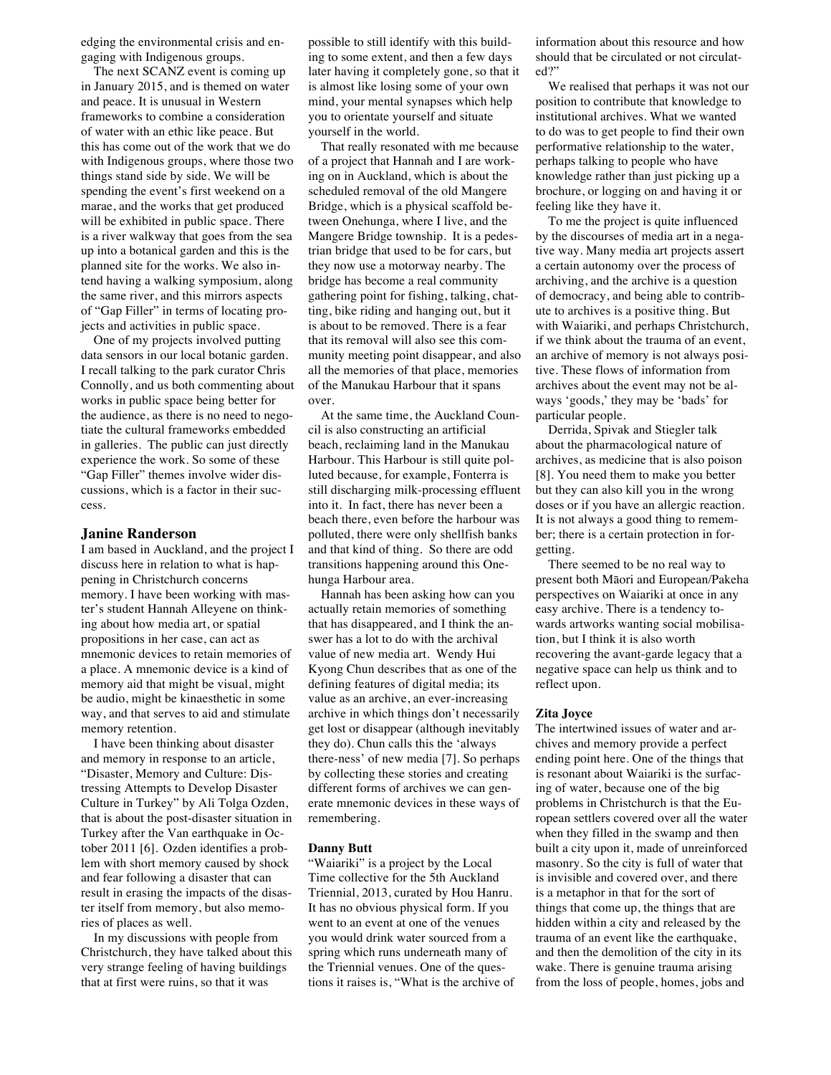edging the environmental crisis and engaging with Indigenous groups.

The next SCANZ event is coming up in January 2015, and is themed on water and peace. It is unusual in Western frameworks to combine a consideration of water with an ethic like peace. But this has come out of the work that we do with Indigenous groups, where those two things stand side by side. We will be spending the event's first weekend on a marae, and the works that get produced will be exhibited in public space. There is a river walkway that goes from the sea up into a botanical garden and this is the planned site for the works. We also intend having a walking symposium, along the same river, and this mirrors aspects of "Gap Filler" in terms of locating projects and activities in public space.

One of my projects involved putting data sensors in our local botanic garden. I recall talking to the park curator Chris Connolly, and us both commenting about works in public space being better for the audience, as there is no need to negotiate the cultural frameworks embedded in galleries. The public can just directly experience the work. So some of these "Gap Filler" themes involve wider discussions, which is a factor in their success.

## **Janine Randerson**

I am based in Auckland, and the project I discuss here in relation to what is happening in Christchurch concerns memory. I have been working with master's student Hannah Alleyene on thinking about how media art, or spatial propositions in her case, can act as mnemonic devices to retain memories of a place. A mnemonic device is a kind of memory aid that might be visual, might be audio, might be kinaesthetic in some way, and that serves to aid and stimulate memory retention.

I have been thinking about disaster and memory in response to an article, "Disaster, Memory and Culture: Distressing Attempts to Develop Disaster Culture in Turkey" by Ali Tolga Ozden, that is about the post-disaster situation in Turkey after the Van earthquake in October 2011 [6]. Ozden identifies a problem with short memory caused by shock and fear following a disaster that can result in erasing the impacts of the disaster itself from memory, but also memories of places as well.

In my discussions with people from Christchurch, they have talked about this very strange feeling of having buildings that at first were ruins, so that it was

possible to still identify with this building to some extent, and then a few days later having it completely gone, so that it is almost like losing some of your own mind, your mental synapses which help you to orientate yourself and situate yourself in the world.

That really resonated with me because of a project that Hannah and I are working on in Auckland, which is about the scheduled removal of the old Mangere Bridge, which is a physical scaffold between Onehunga, where I live, and the Mangere Bridge township. It is a pedestrian bridge that used to be for cars, but they now use a motorway nearby. The bridge has become a real community gathering point for fishing, talking, chatting, bike riding and hanging out, but it is about to be removed. There is a fear that its removal will also see this community meeting point disappear, and also all the memories of that place, memories of the Manukau Harbour that it spans over.

At the same time, the Auckland Council is also constructing an artificial beach, reclaiming land in the Manukau Harbour. This Harbour is still quite polluted because, for example, Fonterra is still discharging milk-processing effluent into it. In fact, there has never been a beach there, even before the harbour was polluted, there were only shellfish banks and that kind of thing. So there are odd transitions happening around this Onehunga Harbour area.

Hannah has been asking how can you actually retain memories of something that has disappeared, and I think the answer has a lot to do with the archival value of new media art. Wendy Hui Kyong Chun describes that as one of the defining features of digital media; its value as an archive, an ever-increasing archive in which things don't necessarily get lost or disappear (although inevitably they do). Chun calls this the 'always there-ness' of new media [7]. So perhaps by collecting these stories and creating different forms of archives we can generate mnemonic devices in these ways of remembering.

#### **Danny Butt**

"Waiariki" is a project by the Local Time collective for the 5th Auckland Triennial, 2013, curated by Hou Hanru. It has no obvious physical form. If you went to an event at one of the venues you would drink water sourced from a spring which runs underneath many of the Triennial venues. One of the questions it raises is, "What is the archive of information about this resource and how should that be circulated or not circulated?"

We realised that perhaps it was not our position to contribute that knowledge to institutional archives. What we wanted to do was to get people to find their own performative relationship to the water, perhaps talking to people who have knowledge rather than just picking up a brochure, or logging on and having it or feeling like they have it.

To me the project is quite influenced by the discourses of media art in a negative way. Many media art projects assert a certain autonomy over the process of archiving, and the archive is a question of democracy, and being able to contribute to archives is a positive thing. But with Waiariki, and perhaps Christchurch, if we think about the trauma of an event, an archive of memory is not always positive. These flows of information from archives about the event may not be always 'goods,' they may be 'bads' for particular people.

Derrida, Spivak and Stiegler talk about the pharmacological nature of archives, as medicine that is also poison [8]. You need them to make you better but they can also kill you in the wrong doses or if you have an allergic reaction. It is not always a good thing to remember; there is a certain protection in forgetting.

There seemed to be no real way to present both Māori and European/Pakeha perspectives on Waiariki at once in any easy archive. There is a tendency towards artworks wanting social mobilisation, but I think it is also worth recovering the avant-garde legacy that a negative space can help us think and to reflect upon.

## **Zita Joyce**

The intertwined issues of water and archives and memory provide a perfect ending point here. One of the things that is resonant about Waiariki is the surfacing of water, because one of the big problems in Christchurch is that the European settlers covered over all the water when they filled in the swamp and then built a city upon it, made of unreinforced masonry. So the city is full of water that is invisible and covered over, and there is a metaphor in that for the sort of things that come up, the things that are hidden within a city and released by the trauma of an event like the earthquake, and then the demolition of the city in its wake. There is genuine trauma arising from the loss of people, homes, jobs and